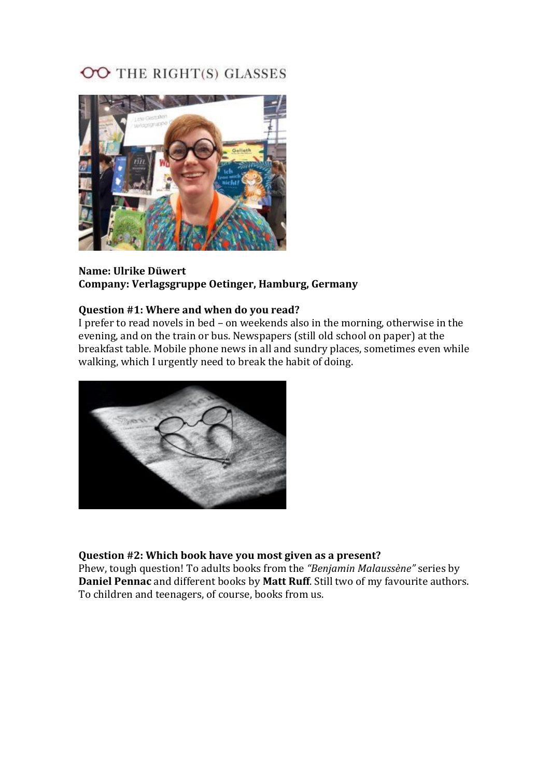# OO THE RIGHT(S) GLASSES



### **Name: Ulrike Düwert Company: Verlagsgruppe Oetinger, Hamburg, Germany**

# **Question #1: Where and when do you read?**

I prefer to read novels in bed – on weekends also in the morning, otherwise in the evening, and on the train or bus. Newspapers (still old school on paper) at the breakfast table. Mobile phone news in all and sundry places, sometimes even while walking, which I urgently need to break the habit of doing.



# **Question #2: Which book have you most given as a present?**

Phew, tough question! To adults books from the *"Benjamin Malaussène"* series by **Daniel Pennac** and different books by **Matt Ruff**. Still two of my favourite authors. To children and teenagers, of course, books from us.